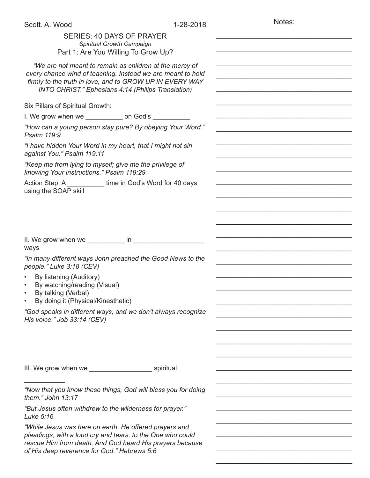Notes:

| SERIES: 40 DAYS OF PRAYER<br>Spiritual Growth Campaign<br>Part 1: Are You Willing To Grow Up?                                                                                                                                                   |  |
|-------------------------------------------------------------------------------------------------------------------------------------------------------------------------------------------------------------------------------------------------|--|
| "We are not meant to remain as children at the mercy of<br>every chance wind of teaching. Instead we are meant to hold<br>firmly to the truth in love, and to GROW UP IN EVERY WAY<br><b>INTO CHRIST." Ephesians 4:14 (Philips Translation)</b> |  |
| Six Pillars of Spiritual Growth:                                                                                                                                                                                                                |  |
| I. We grow when we _____________ on God's __________                                                                                                                                                                                            |  |
| "How can a young person stay pure? By obeying Your Word."<br>Psalm 119:9                                                                                                                                                                        |  |
| "I have hidden Your Word in my heart, that I might not sin<br>against You." Psalm 119:11                                                                                                                                                        |  |
| "Keep me from lying to myself; give me the privilege of<br>knowing Your instructions." Psalm 119:29                                                                                                                                             |  |
| Action Step: A _____________time in God's Word for 40 days<br>using the SOAP skill                                                                                                                                                              |  |
|                                                                                                                                                                                                                                                 |  |
|                                                                                                                                                                                                                                                 |  |
| ways                                                                                                                                                                                                                                            |  |
| "In many different ways John preached the Good News to the<br>people." Luke 3:18 (CEV)                                                                                                                                                          |  |
| By listening (Auditory)<br>By watching/reading (Visual)<br>$\bullet$<br>By talking (Verbal)<br>By doing it (Physical/Kinesthetic)                                                                                                               |  |
| "God speaks in different ways, and we don't always recognize<br>His voice." Job 33:14 (CEV)                                                                                                                                                     |  |
|                                                                                                                                                                                                                                                 |  |
|                                                                                                                                                                                                                                                 |  |
|                                                                                                                                                                                                                                                 |  |
|                                                                                                                                                                                                                                                 |  |
| "Now that you know these things, God will bless you for doing<br>them." John 13:17                                                                                                                                                              |  |
| "But Jesus often withdrew to the wilderness for prayer."<br>Luke 5:16                                                                                                                                                                           |  |
| "While Jesus was here on earth, He offered prayers and<br>pleadings, with a loud cry and tears, to the One who could<br>rescue Him from death. And God heard His prayers because                                                                |  |
| of His deep reverence for God." Hebrews 5:6                                                                                                                                                                                                     |  |